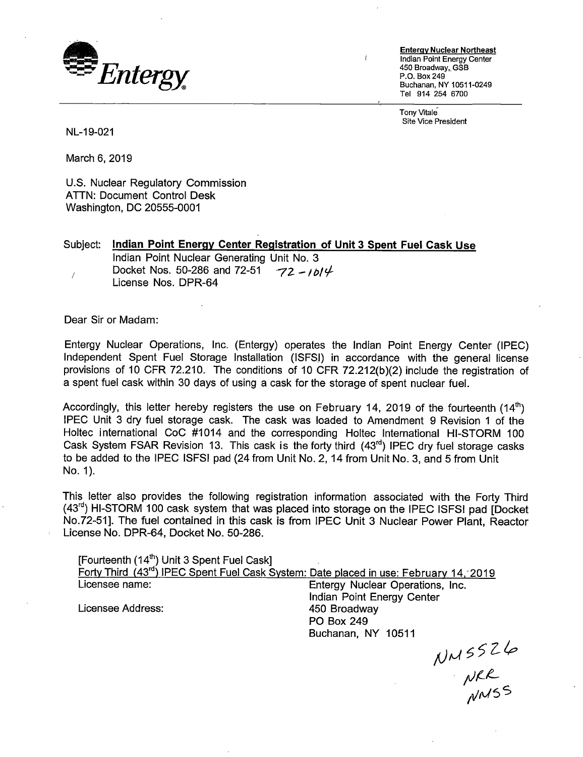

**Entergy Nuclear Northeast**  Indian Point Energy Center 450 Broadway, GSB P.O. Box249 Buchanan, NY 10511-0249 Tel 914 254 6700

Tony Vitale Site Vice President

NL-19-021

March 6, 2019

U.S. Nuclear Regulatory Commission ATTN: Document Control Desk Washington, DC 20555-0001

Subject: **Indian Point Energy Center Registration of Unit 3 Spent Fuel Cask Use**  Indian Point Nuclear Generating Unit No. 3 Docket Nos. 50-286 and 72-51  $-72 - 1614$  $\overline{1}$ License Nos. DPR-64

Dear Sir or Madam:

Entergy Nuclear Operations, Inc. (Entergy) operates the Indian Point Energy Center (IPEC) Independent Spent Fuel Storage Installation (ISFSI) in accordance with the general license provisions of 10 CFR 72.210. The conditions of 10 CFR 72.212(b)(2) include the registration of a spent fuel cask within 30 days of using a cask for the storage of spent nuclear fuel.

Accordingly, this letter hereby registers the use on February 14, 2019 of the fourteenth  $(14<sup>th</sup>)$ IPEC Unit 3 dry fuel storage cask. The cask was loaded to Amendment 9 Revision 1 of the Holtec international CoC #1014 and the corresponding Holtec International HI-STORM 100 Cask System FSAR Revision 13. This cask is the forty third (43<sup>rd</sup>) IPEC dry fuel storage casks to be added to the IPEC ISFSI pad (24 from Unit No. 2, 14 from Unit No. 3, and 5 from Unit No. 1).

This letter also provides the following registration information associated with the Forty Third  $(43<sup>rd</sup>)$  HI-STORM 100 cask system that was placed into storage on the IPEC ISFSI pad [Docket No.72-51]. The fuel contained in this cask is from IPEC Unit 3 Nuclear Power Plant, Reactor License No. DPR-64, Docket No. 50-286.

[Fourteenth (14<sup>th</sup>) Unit 3 Spent Fuel Cask] Forty Third (43<sup>rd</sup>) IPEC Spent Fuel Cask System: Date placed in use: February 14, 2019<br>Licensee name: Entergy Nuclear Operations, Inc. Entergy Nuclear Operations, Inc. Indian Point Energy Center Licensee Address: 450 Broadway

PO Box 249 Buchanan, NY 10511

NNSSZ6<br>NRR<br>NNSS